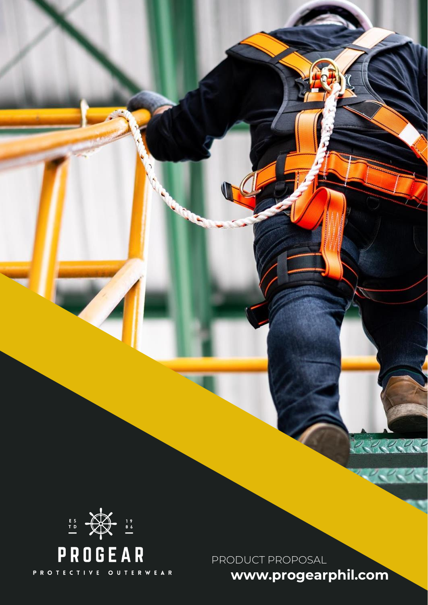

PRODUCT PROPOSAL

**www.progearphil.com**

22333

 $\vee$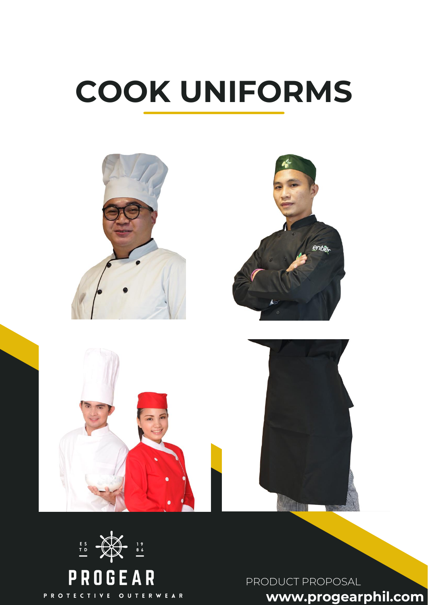# **COOK UNIFORMS**





PRODUCT PROPOSAL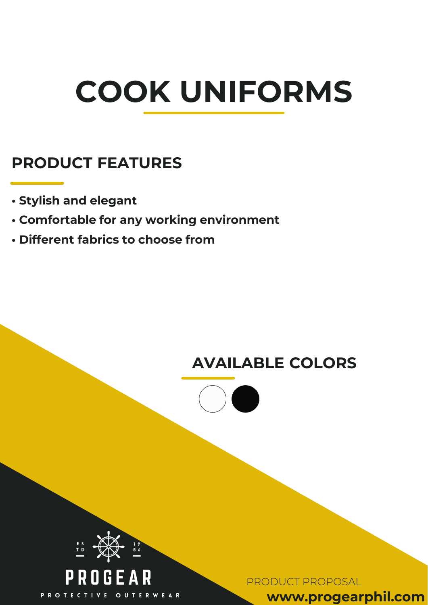# **COOK UNIFORMS**

#### **PRODUCT FEATURES**

- **Stylish and elegant**
- **Comfortable for any working environment**
- **Different fabrics to choose from**

#### **AVAILABLE COLORS**





PRODUCT PROPOSAL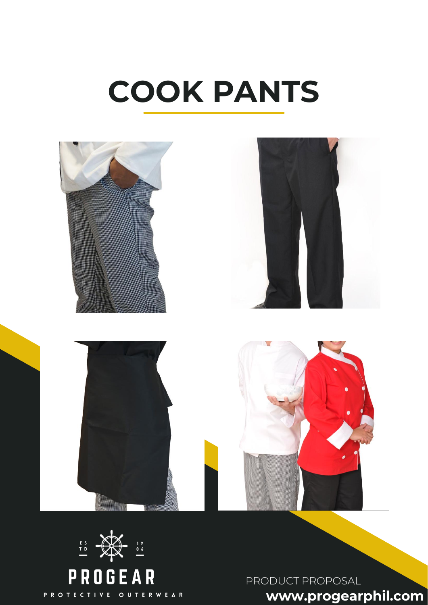### **COOK PANTS**





PRODUCT PROPOSAL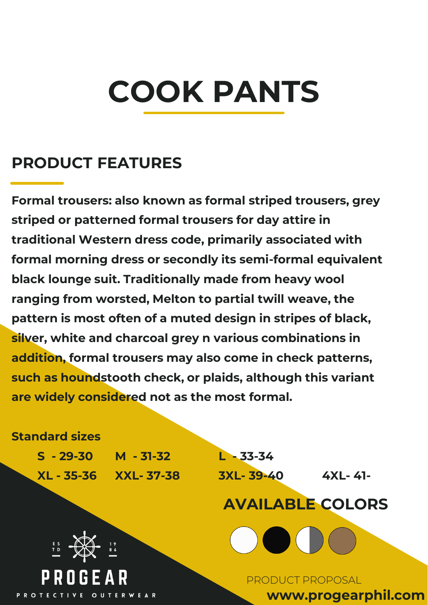## **COOK PANTS**

#### **PRODUCT FEATURES**

**Formal trousers: also known as formal striped trousers, grey striped or patterned formal trousers for day attire in traditional Western dress code, primarily associated with formal morning dress or secondly its semi-formal equivalent black lounge suit. Traditionally made from heavy wool ranging from worsted, Melton to partial twill weave, the pattern is most often of a muted design in stripes of black, silver, white and charcoal grey n various combinations in addition, formal trousers may also come in check patterns, such as houndstooth check, or plaids, although this variant are widely considered not as the most formal.**

#### **Standard sizes**

**S - 29-30 M - 31-32 L - 33-34 XL - 35-36 XXL- 37-38 3XL- 39-40 4XL- 41-**

**AVAILABLE COLORS** 



PRODUCT PROPOSAL